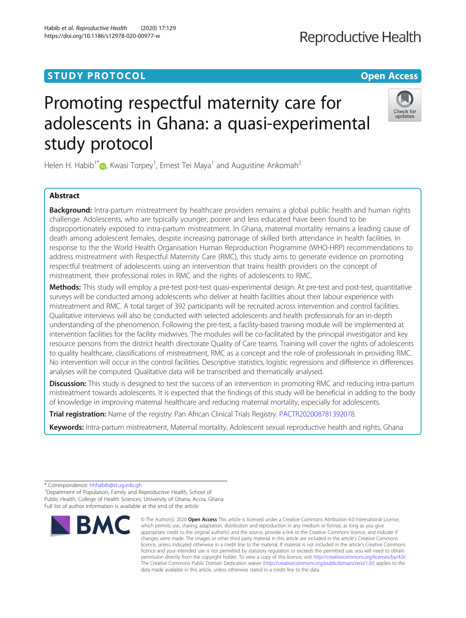# **STUDY PROTOCOL CONSUMING THE CONSUMING OPEN ACCESS**

# Promoting respectful maternity care for adolescents in Ghana: a quasi-experimental study protocol

Helen H. Habib<sup>1\*</sup> $\textcolor{blue}{\bullet}$ [,](http://orcid.org/0000-0001-7767-9312) Kwasi Torpey<sup>1</sup>, Ernest Tei Maya<sup>1</sup> and Augustine Ankomah<sup>2</sup>

# Abstract

**Background:** Intra-partum mistreatment by healthcare providers remains a global public health and human rights challenge. Adolescents, who are typically younger, poorer and less educated have been found to be disproportionately exposed to intra-partum mistreatment. In Ghana, maternal mortality remains a leading cause of death among adolescent females, despite increasing patronage of skilled birth attendance in health facilities. In response to the the World Health Organisation Human Reproduction Programme (WHO-HRP) recommendations to address mistreatment with Respectful Maternity Care (RMC), this study aims to generate evidence on promoting respectful treatment of adolescents using an intervention that trains health providers on the concept of mistreatment, their professional roles in RMC and the rights of adolescents to RMC.

Methods: This study will employ a pre-test post-test quasi-experimental design. At pre-test and post-test, quantitative surveys will be conducted among adolescents who deliver at health facilities about their labour experience with mistreatment and RMC. A total target of 392 participants will be recruited across intervention and control facilities. Qualitative interviews will also be conducted with selected adolescents and health professionals for an in-depth understanding of the phenomenon. Following the pre-test, a facility-based training module will be implemented at intervention facilities for the facility midwives. The modules will be co-facilitated by the principal investigator and key resource persons from the district health directorate Quality of Care teams. Training will cover the rights of adolescents to quality healthcare, classifications of mistreatment, RMC as a concept and the role of professionals in providing RMC. No intervention will occur in the control facilities. Descriptive statistics, logistic regressions and difference in differences analyses will be computed. Qualitative data will be transcribed and thematically analysed.

Discussion: This study is designed to test the success of an intervention in promoting RMC and reducing intra-partum mistreatment towards adolescents. It is expected that the findings of this study will be beneficial in adding to the body of knowledge in improving maternal healthcare and reducing maternal mortality, especially for adolescents.

Trial registration: Name of the registry: Pan African Clinical Trials Registry. [PACTR202008781392078](https://pactr.samrc.ac.za/TrialDisplay.aspx?TrialID=9837).

Keywords: Intra-partum mistreatment, Maternal mortality, Adolescent sexual reproductive health and rights, Ghana

\* Correspondence: [hhhabib@st.ug.edu.gh](mailto:hhhabib@st.ug.edu.gh) <sup>1</sup>

**BMC** 

<sup>1</sup>Department of Population, Family and Reproductive Health, School of Public Health, College of Health Sciences, University of Ghana, Accra, Ghana Full list of author information is available at the end of the article



data made available in this article, unless otherwise stated in a credit line to the data.

© The Author(s), 2020 **Open Access** This article is licensed under a Creative Commons Attribution 4.0 International License, which permits use, sharing, adaptation, distribution and reproduction in any medium or format, as long as you give



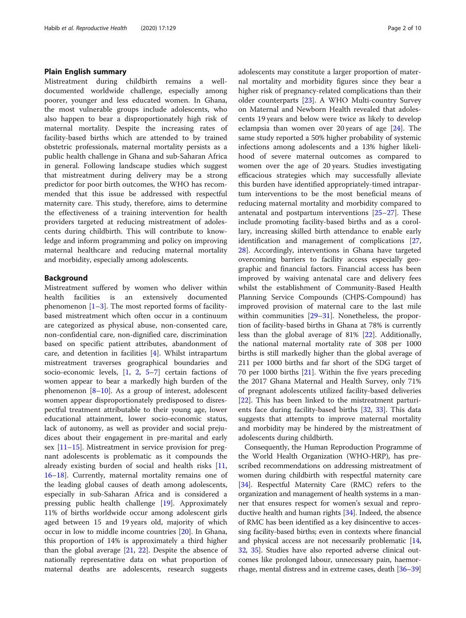# Plain English summary

Mistreatment during childbirth remains a welldocumented worldwide challenge, especially among poorer, younger and less educated women. In Ghana, the most vulnerable groups include adolescents, who also happen to bear a disproportionately high risk of maternal mortality. Despite the increasing rates of facility-based births which are attended to by trained obstetric professionals, maternal mortality persists as a public health challenge in Ghana and sub-Saharan Africa in general. Following landscape studies which suggest that mistreatment during delivery may be a strong predictor for poor birth outcomes, the WHO has recommended that this issue be addressed with respectful maternity care. This study, therefore, aims to determine the effectiveness of a training intervention for health providers targeted at reducing mistreatment of adolescents during childbirth. This will contribute to knowledge and inform programming and policy on improving maternal healthcare and reducing maternal mortality and morbidity, especially among adolescents.

# Background

Mistreatment suffered by women who deliver within health facilities is an extensively documented phenomenon  $[1-3]$  $[1-3]$  $[1-3]$  $[1-3]$ . The most reported forms of facilitybased mistreatment which often occur in a continuum are categorized as physical abuse, non-consented care, non-confidential care, non-dignified care, discrimination based on specific patient attributes, abandonment of care, and detention in facilities [\[4](#page-7-0)]. Whilst intrapartum mistreatment traverses geographical boundaries and socio-economic levels, [\[1](#page-7-0), [2](#page-7-0), [5](#page-7-0)–[7\]](#page-7-0) certain factions of women appear to bear a markedly high burden of the phenomenon  $[8-10]$  $[8-10]$  $[8-10]$  $[8-10]$ . As a group of interest, adolescent women appear disproportionately predisposed to disrespectful treatment attributable to their young age, lower educational attainment, lower socio-economic status, lack of autonomy, as well as provider and social prejudices about their engagement in pre-marital and early sex [\[11](#page-7-0)–[15\]](#page-7-0). Mistreatment in service provision for pregnant adolescents is problematic as it compounds the already existing burden of social and health risks [[11](#page-7-0), [16](#page-7-0)–[18](#page-8-0)]. Currently, maternal mortality remains one of the leading global causes of death among adolescents, especially in sub-Saharan Africa and is considered a pressing public health challenge [\[19\]](#page-8-0). Approximately 11% of births worldwide occur among adolescent girls aged between 15 and 19 years old, majority of which occur in low to middle income countries [[20](#page-8-0)]. In Ghana, this proportion of 14% is approximately a third higher than the global average  $[21, 22]$  $[21, 22]$  $[21, 22]$ . Despite the absence of nationally representative data on what proportion of maternal deaths are adolescents, research suggests adolescents may constitute a larger proportion of maternal mortality and morbidity figures since they bear a higher risk of pregnancy-related complications than their older counterparts [\[23\]](#page-8-0). A WHO Multi-country Survey on Maternal and Newborn Health revealed that adolescents 19 years and below were twice as likely to develop eclampsia than women over 20 years of age [\[24](#page-8-0)]. The same study reported a 50% higher probability of systemic infections among adolescents and a 13% higher likelihood of severe maternal outcomes as compared to women over the age of 20 years. Studies investigating efficacious strategies which may successfully alleviate this burden have identified appropriately-timed intrapartum interventions to be the most beneficial means of reducing maternal mortality and morbidity compared to antenatal and postpartum interventions [[25](#page-8-0)–[27](#page-8-0)]. These include promoting facility-based births and as a corollary, increasing skilled birth attendance to enable early identification and management of complications [[27](#page-8-0), [28\]](#page-8-0). Accordingly, interventions in Ghana have targeted overcoming barriers to facility access especially geographic and financial factors. Financial access has been improved by waiving antenatal care and delivery fees whilst the establishment of Community-Based Health Planning Service Compounds (CHPS-Compound) has improved provision of maternal care to the last mile within communities [[29](#page-8-0)–[31](#page-8-0)]. Nonetheless, the proportion of facility-based births in Ghana at 78% is currently less than the global average of 81% [\[22](#page-8-0)]. Additionally, the national maternal mortality rate of 308 per 1000 births is still markedly higher than the global average of 211 per 1000 births and far short of the SDG target of 70 per 1000 births  $[21]$  $[21]$  $[21]$ . Within the five years preceding the 2017 Ghana Maternal and Health Survey, only 71% of pregnant adolescents utilized facility-based deliveries [[22\]](#page-8-0). This has been linked to the mistreatment parturients face during facility-based births [\[32](#page-8-0), [33\]](#page-8-0). This data suggests that attempts to improve maternal mortality and morbidity may be hindered by the mistreatment of adolescents during childbirth.

Consequently, the Human Reproduction Programme of the World Health Organization (WHO-HRP), has prescribed recommendations on addressing mistreatment of women during childbirth with respectful maternity care [[34](#page-8-0)]. Respectful Maternity Care (RMC) refers to the organization and management of health systems in a manner that ensures respect for women's sexual and reproductive health and human rights [[34](#page-8-0)]. Indeed, the absence of RMC has been identified as a key disincentive to accessing facility-based births; even in contexts where financial and physical access are not necessarily problematic [[14](#page-7-0), [32](#page-8-0), [35\]](#page-8-0). Studies have also reported adverse clinical outcomes like prolonged labour, unnecessary pain, haemorrhage, mental distress and in extreme cases, death [\[36](#page-8-0)–[39](#page-8-0)]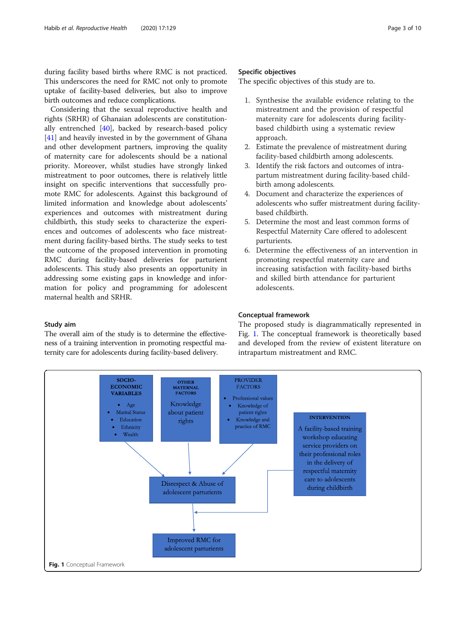during facility based births where RMC is not practiced. This underscores the need for RMC not only to promote uptake of facility-based deliveries, but also to improve birth outcomes and reduce complications.

Considering that the sexual reproductive health and rights (SRHR) of Ghanaian adolescents are constitutionally entrenched [[40](#page-8-0)], backed by research-based policy [[41\]](#page-8-0) and heavily invested in by the government of Ghana and other development partners, improving the quality of maternity care for adolescents should be a national priority. Moreover, whilst studies have strongly linked mistreatment to poor outcomes, there is relatively little insight on specific interventions that successfully promote RMC for adolescents. Against this background of limited information and knowledge about adolescents' experiences and outcomes with mistreatment during childbirth, this study seeks to characterize the experiences and outcomes of adolescents who face mistreatment during facility-based births. The study seeks to test the outcome of the proposed intervention in promoting RMC during facility-based deliveries for parturient adolescents. This study also presents an opportunity in addressing some existing gaps in knowledge and information for policy and programming for adolescent maternal health and SRHR.

#### Study aim

The overall aim of the study is to determine the effectiveness of a training intervention in promoting respectful maternity care for adolescents during facility-based delivery.

# Specific objectives

The specific objectives of this study are to.

- 1. Synthesise the available evidence relating to the mistreatment and the provision of respectful maternity care for adolescents during facilitybased childbirth using a systematic review approach.
- 2. Estimate the prevalence of mistreatment during facility-based childbirth among adolescents.
- 3. Identify the risk factors and outcomes of intrapartum mistreatment during facility-based childbirth among adolescents.
- 4. Document and characterize the experiences of adolescents who suffer mistreatment during facilitybased childbirth.
- 5. Determine the most and least common forms of Respectful Maternity Care offered to adolescent parturients.
- 6. Determine the effectiveness of an intervention in promoting respectful maternity care and increasing satisfaction with facility-based births and skilled birth attendance for parturient adolescents.

# Conceptual framework

The proposed study is diagrammatically represented in Fig. 1. The conceptual framework is theoretically based and developed from the review of existent literature on intrapartum mistreatment and RMC.

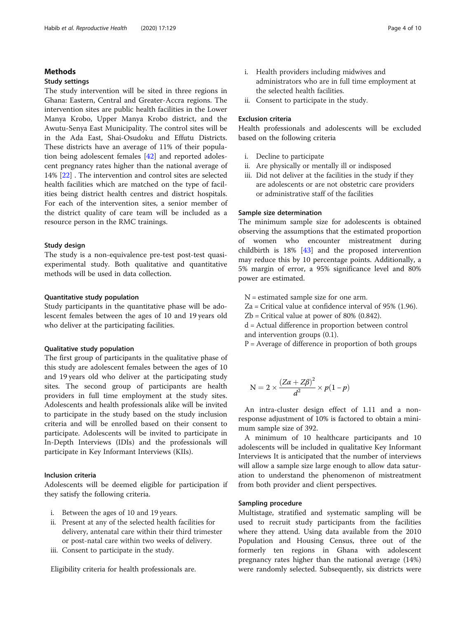# Methods

# Study settings

The study intervention will be sited in three regions in Ghana: Eastern, Central and Greater-Accra regions. The intervention sites are public health facilities in the Lower Manya Krobo, Upper Manya Krobo district, and the Awutu-Senya East Municipality. The control sites will be in the Ada East, Shai-Osudoku and Effutu Districts. These districts have an average of 11% of their population being adolescent females [\[42\]](#page-8-0) and reported adolescent pregnancy rates higher than the national average of 14% [\[22](#page-8-0)] . The intervention and control sites are selected health facilities which are matched on the type of facilities being district health centres and district hospitals. For each of the intervention sites, a senior member of the district quality of care team will be included as a resource person in the RMC trainings.

# Study design

The study is a non-equivalence pre-test post-test quasiexperimental study. Both qualitative and quantitative methods will be used in data collection.

# Quantitative study population

Study participants in the quantitative phase will be adolescent females between the ages of 10 and 19 years old who deliver at the participating facilities.

# Qualitative study population

The first group of participants in the qualitative phase of this study are adolescent females between the ages of 10 and 19 years old who deliver at the participating study sites. The second group of participants are health providers in full time employment at the study sites. Adolescents and health professionals alike will be invited to participate in the study based on the study inclusion criteria and will be enrolled based on their consent to participate. Adolescents will be invited to participate in In-Depth Interviews (IDIs) and the professionals will participate in Key Informant Interviews (KIIs).

# Inclusion criteria

Adolescents will be deemed eligible for participation if they satisfy the following criteria.

- i. Between the ages of 10 and 19 years.
- ii. Present at any of the selected health facilities for delivery, antenatal care within their third trimester or post-natal care within two weeks of delivery.
- iii. Consent to participate in the study.

Eligibility criteria for health professionals are.

- i. Health providers including midwives and administrators who are in full time employment at the selected health facilities.
- ii. Consent to participate in the study.

### Exclusion criteria

Health professionals and adolescents will be excluded based on the following criteria

- i. Decline to participate
- ii. Are physically or mentally ill or indisposed
- iii. Did not deliver at the facilities in the study if they are adolescents or are not obstetric care providers or administrative staff of the facilities

# Sample size determination

The minimum sample size for adolescents is obtained observing the assumptions that the estimated proportion of women who encounter mistreatment during childbirth is 18% [[43](#page-8-0)] and the proposed intervention may reduce this by 10 percentage points. Additionally, a 5% margin of error, a 95% significance level and 80% power are estimated.

N = estimated sample size for one arm.

Za = Critical value at confidence interval of 95% (1.96).

 $Zb =$  Critical value at power of 80% (0.842).

d = Actual difference in proportion between control and intervention groups (0.1).

 $P =$  Average of difference in proportion of both groups

$$
N = 2 \times \frac{(Z\alpha + Z\beta)^2}{d^2} \times p(1-p)
$$

An intra-cluster design effect of 1.11 and a nonresponse adjustment of 10% is factored to obtain a minimum sample size of 392.

A minimum of 10 healthcare participants and 10 adolescents will be included in qualitative Key Informant Interviews It is anticipated that the number of interviews will allow a sample size large enough to allow data saturation to understand the phenomenon of mistreatment from both provider and client perspectives.

# Sampling procedure

Multistage, stratified and systematic sampling will be used to recruit study participants from the facilities where they attend. Using data available from the 2010 Population and Housing Census, three out of the formerly ten regions in Ghana with adolescent pregnancy rates higher than the national average (14%) were randomly selected. Subsequently, six districts were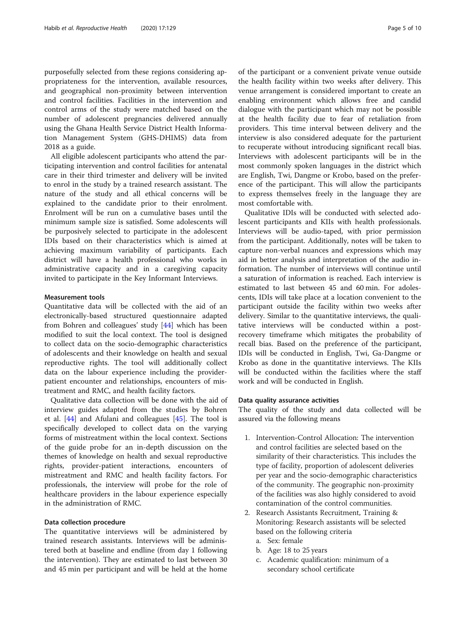purposefully selected from these regions considering appropriateness for the intervention, available resources, and geographical non-proximity between intervention and control facilities. Facilities in the intervention and control arms of the study were matched based on the number of adolescent pregnancies delivered annually using the Ghana Health Service District Health Information Management System (GHS-DHIMS) data from 2018 as a guide.

All eligible adolescent participants who attend the participating intervention and control facilities for antenatal care in their third trimester and delivery will be invited to enrol in the study by a trained research assistant. The nature of the study and all ethical concerns will be explained to the candidate prior to their enrolment. Enrolment will be run on a cumulative bases until the minimum sample size is satisfied. Some adolescents will be purposively selected to participate in the adolescent IDIs based on their characteristics which is aimed at achieving maximum variability of participants. Each district will have a health professional who works in administrative capacity and in a caregiving capacity invited to participate in the Key Informant Interviews.

#### Measurement tools

Quantitative data will be collected with the aid of an electronically-based structured questionnaire adapted from Bohren and colleagues' study [[44\]](#page-8-0) which has been modified to suit the local context. The tool is designed to collect data on the socio-demographic characteristics of adolescents and their knowledge on health and sexual reproductive rights. The tool will additionally collect data on the labour experience including the providerpatient encounter and relationships, encounters of mistreatment and RMC, and health facility factors.

Qualitative data collection will be done with the aid of interview guides adapted from the studies by Bohren et al. [\[44\]](#page-8-0) and Afulani and colleagues [\[45\]](#page-8-0). The tool is specifically developed to collect data on the varying forms of mistreatment within the local context. Sections of the guide probe for an in-depth discussion on the themes of knowledge on health and sexual reproductive rights, provider-patient interactions, encounters of mistreatment and RMC and health facility factors. For professionals, the interview will probe for the role of healthcare providers in the labour experience especially in the administration of RMC.

# Data collection procedure

The quantitative interviews will be administered by trained research assistants. Interviews will be administered both at baseline and endline (from day 1 following the intervention). They are estimated to last between 30 and 45 min per participant and will be held at the home

of the participant or a convenient private venue outside the health facility within two weeks after delivery. This venue arrangement is considered important to create an enabling environment which allows free and candid dialogue with the participant which may not be possible at the health facility due to fear of retaliation from providers. This time interval between delivery and the interview is also considered adequate for the parturient to recuperate without introducing significant recall bias. Interviews with adolescent participants will be in the most commonly spoken languages in the district which are English, Twi, Dangme or Krobo, based on the preference of the participant. This will allow the participants to express themselves freely in the language they are most comfortable with.

Qualitative IDIs will be conducted with selected adolescent participants and KIIs with health professionals. Interviews will be audio-taped, with prior permission from the participant. Additionally, notes will be taken to capture non-verbal nuances and expressions which may aid in better analysis and interpretation of the audio information. The number of interviews will continue until a saturation of information is reached. Each interview is estimated to last between 45 and 60 min. For adolescents, IDIs will take place at a location convenient to the participant outside the facility within two weeks after delivery. Similar to the quantitative interviews, the qualitative interviews will be conducted within a postrecovery timeframe which mitigates the probability of recall bias. Based on the preference of the participant, IDIs will be conducted in English, Twi, Ga-Dangme or Krobo as done in the quantitative interviews. The KIIs will be conducted within the facilities where the staff work and will be conducted in English.

# Data quality assurance activities

The quality of the study and data collected will be assured via the following means

- 1. Intervention-Control Allocation: The intervention and control facilities are selected based on the similarity of their characteristics. This includes the type of facility, proportion of adolescent deliveries per year and the socio-demographic characteristics of the community. The geographic non-proximity of the facilities was also highly considered to avoid contamination of the control communities.
- 2. Research Assistants Recruitment, Training & Monitoring: Research assistants will be selected based on the following criteria
	- a. Sex: female
	- b. Age: 18 to 25 years
	- c. Academic qualification: minimum of a secondary school certificate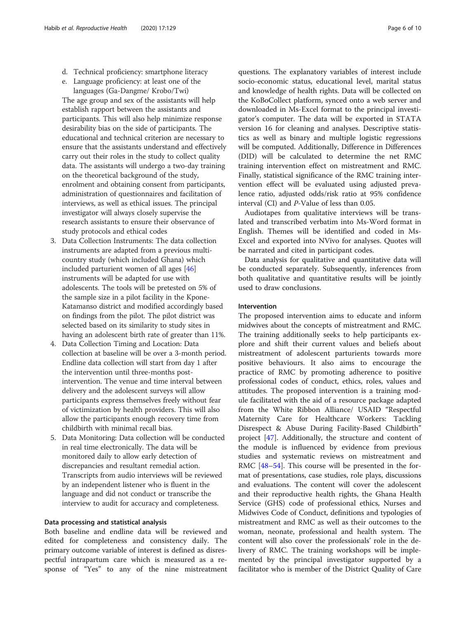- d. Technical proficiency: smartphone literacy
- e. Language proficiency: at least one of the languages (Ga-Dangme/ Krobo/Twi)

The age group and sex of the assistants will help establish rapport between the assistants and participants. This will also help minimize response desirability bias on the side of participants. The educational and technical criterion are necessary to ensure that the assistants understand and effectively carry out their roles in the study to collect quality data. The assistants will undergo a two-day training on the theoretical background of the study, enrolment and obtaining consent from participants, administration of questionnaires and facilitation of interviews, as well as ethical issues. The principal investigator will always closely supervise the research assistants to ensure their observance of study protocols and ethical codes

- 3. Data Collection Instruments: The data collection instruments are adapted from a previous multicountry study (which included Ghana) which included parturient women of all ages [\[46\]](#page-8-0) instruments will be adapted for use with adolescents. The tools will be pretested on 5% of the sample size in a pilot facility in the Kpone-Katamanso district and modified accordingly based on findings from the pilot. The pilot district was selected based on its similarity to study sites in having an adolescent birth rate of greater than 11%.
- 4. Data Collection Timing and Location: Data collection at baseline will be over a 3-month period. Endline data collection will start from day 1 after the intervention until three-months postintervention. The venue and time interval between delivery and the adolescent surveys will allow participants express themselves freely without fear of victimization by health providers. This will also allow the participants enough recovery time from childbirth with minimal recall bias.
- 5. Data Monitoring: Data collection will be conducted in real time electronically. The data will be monitored daily to allow early detection of discrepancies and resultant remedial action. Transcripts from audio interviews will be reviewed by an independent listener who is fluent in the language and did not conduct or transcribe the interview to audit for accuracy and completeness.

#### Data processing and statistical analysis

Both baseline and endline data will be reviewed and edited for completeness and consistency daily. The primary outcome variable of interest is defined as disrespectful intrapartum care which is measured as a response of "Yes" to any of the nine mistreatment

questions. The explanatory variables of interest include socio-economic status, educational level, marital status and knowledge of health rights. Data will be collected on the KoBoCollect platform, synced onto a web server and downloaded in Ms-Excel format to the principal investigator's computer. The data will be exported in STATA version 16 for cleaning and analyses. Descriptive statistics as well as binary and multiple logistic regressions will be computed. Additionally, Difference in Differences (DID) will be calculated to determine the net RMC training intervention effect on mistreatment and RMC. Finally, statistical significance of the RMC training intervention effect will be evaluated using adjusted prevalence ratio, adjusted odds/risk ratio at 95% confidence interval (CI) and P-Value of less than 0.05.

Audiotapes from qualitative interviews will be translated and transcribed verbatim into Ms-Word format in English. Themes will be identified and coded in Ms-Excel and exported into NVivo for analyses. Quotes will be narrated and cited in participant codes.

Data analysis for qualitative and quantitative data will be conducted separately. Subsequently, inferences from both qualitative and quantitative results will be jointly used to draw conclusions.

### Intervention

The proposed intervention aims to educate and inform midwives about the concepts of mistreatment and RMC. The training additionally seeks to help participants explore and shift their current values and beliefs about mistreatment of adolescent parturients towards more positive behaviours. It also aims to encourage the practice of RMC by promoting adherence to positive professional codes of conduct, ethics, roles, values and attitudes. The proposed intervention is a training module facilitated with the aid of a resource package adapted from the White Ribbon Alliance/ USAID "Respectful Maternity Care for Healthcare Workers: Tackling Disrespect & Abuse During Facility-Based Childbirth" project [[47\]](#page-8-0). Additionally, the structure and content of the module is influenced by evidence from previous studies and systematic reviews on mistreatment and RMC [\[48](#page-8-0)–[54\]](#page-9-0). This course will be presented in the format of presentations, case studies, role plays, discussions and evaluations. The content will cover the adolescent and their reproductive health rights, the Ghana Health Service (GHS) code of professional ethics, Nurses and Midwives Code of Conduct, definitions and typologies of mistreatment and RMC as well as their outcomes to the woman, neonate, professional and health system. The content will also cover the professionals' role in the delivery of RMC. The training workshops will be implemented by the principal investigator supported by a facilitator who is member of the District Quality of Care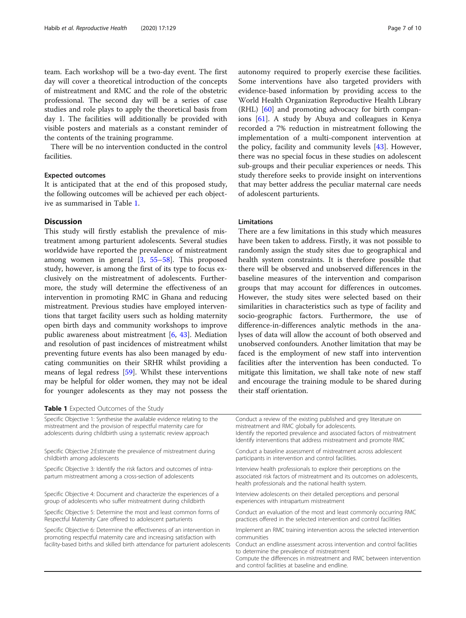team. Each workshop will be a two-day event. The first day will cover a theoretical introduction of the concepts of mistreatment and RMC and the role of the obstetric professional. The second day will be a series of case studies and role plays to apply the theoretical basis from day 1. The facilities will additionally be provided with visible posters and materials as a constant reminder of the contents of the training programme.

There will be no intervention conducted in the control facilities.

# Expected outcomes

It is anticipated that at the end of this proposed study, the following outcomes will be achieved per each objective as summarised in Table 1.

# **Discussion**

This study will firstly establish the prevalence of mistreatment among parturient adolescents. Several studies worldwide have reported the prevalence of mistreatment among women in general [[3,](#page-7-0) [55](#page-9-0)–[58](#page-9-0)]. This proposed study, however, is among the first of its type to focus exclusively on the mistreatment of adolescents. Furthermore, the study will determine the effectiveness of an intervention in promoting RMC in Ghana and reducing mistreatment. Previous studies have employed interventions that target facility users such as holding maternity open birth days and community workshops to improve public awareness about mistreatment [[6,](#page-7-0) [43\]](#page-8-0). Mediation and resolution of past incidences of mistreatment whilst preventing future events has also been managed by educating communities on their SRHR whilst providing a means of legal redress [[59\]](#page-9-0). Whilst these interventions may be helpful for older women, they may not be ideal for younger adolescents as they may not possess the

Table 1 Expected Outcomes of the Study

autonomy required to properly exercise these facilities. Some interventions have also targeted providers with evidence-based information by providing access to the World Health Organization Reproductive Health Library (RHL) [[60](#page-9-0)] and promoting advocacy for birth companions [[61\]](#page-9-0). A study by Abuya and colleagues in Kenya recorded a 7% reduction in mistreatment following the implementation of a multi-component intervention at the policy, facility and community levels [[43\]](#page-8-0). However, there was no special focus in these studies on adolescent sub-groups and their peculiar experiences or needs. This study therefore seeks to provide insight on interventions that may better address the peculiar maternal care needs of adolescent parturients.

# Limitations

There are a few limitations in this study which measures have been taken to address. Firstly, it was not possible to randomly assign the study sites due to geographical and health system constraints. It is therefore possible that there will be observed and unobserved differences in the baseline measures of the intervention and comparison groups that may account for differences in outcomes. However, the study sites were selected based on their similarities in characteristics such as type of facility and socio-geographic factors. Furthermore, the use of difference-in-differences analytic methods in the analyses of data will allow the account of both observed and unobserved confounders. Another limitation that may be faced is the employment of new staff into intervention facilities after the intervention has been conducted. To mitigate this limitation, we shall take note of new staff and encourage the training module to be shared during their staff orientation.

| Specific Objective 1: Synthesise the available evidence relating to the<br>mistreatment and the provision of respectful maternity care for<br>adolescents during childbirth using a systematic review approach                   | Conduct a review of the existing published and grey literature on<br>mistreatment and RMC globally for adolescents.<br>Identify the reported prevalence and associated factors of mistreatment<br>Identify interventions that address mistreatment and promote RMC                                                                           |
|----------------------------------------------------------------------------------------------------------------------------------------------------------------------------------------------------------------------------------|----------------------------------------------------------------------------------------------------------------------------------------------------------------------------------------------------------------------------------------------------------------------------------------------------------------------------------------------|
| Specific Objective 2: Estimate the prevalence of mistreatment during<br>childbirth among adolescents                                                                                                                             | Conduct a baseline assessment of mistreatment across adolescent<br>participants in intervention and control facilities.                                                                                                                                                                                                                      |
| Specific Objective 3: Identify the risk factors and outcomes of intra-<br>partum mistreatment among a cross-section of adolescents                                                                                               | Interview health professionals to explore their perceptions on the<br>associated risk factors of mistreatment and its outcomes on adolescents,<br>health professionals and the national health system.                                                                                                                                       |
| Specific Objective 4: Document and characterize the experiences of a<br>group of adolescents who suffer mistreatment during childbirth                                                                                           | Interview adolescents on their detailed perceptions and personal<br>experiences with intrapartum mistreatment                                                                                                                                                                                                                                |
| Specific Objective 5: Determine the most and least common forms of<br>Respectful Maternity Care offered to adolescent parturients                                                                                                | Conduct an evaluation of the most and least commonly occurring RMC<br>practices offered in the selected intervention and control facilities                                                                                                                                                                                                  |
| Specific Objective 6: Determine the effectiveness of an intervention in<br>promoting respectful maternity care and increasing satisfaction with<br>facility-based births and skilled birth attendance for parturient adolescents | Implement an RMC training intervention across the selected intervention<br>communities<br>Conduct an endline assessment across intervention and control facilities<br>to determine the prevalence of mistreatment<br>Compute the differences in mistreatment and RMC between interventior<br>and control facilities at baseline and endline. |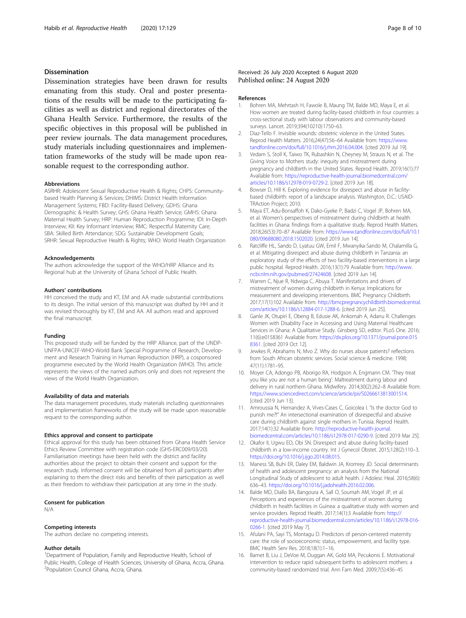# <span id="page-7-0"></span>Dissemination

Dissemination strategies have been drawn for results emanating from this study. Oral and poster presentations of the results will be made to the participating facilities as well as district and regional directorates of the Ghana Health Service. Furthermore, the results of the specific objectives in this proposal will be published in peer review journals. The data management procedures, study materials including questionnaires and implementation frameworks of the study will be made upon reasonable request to the corresponding author.

#### Abbreviations

ASRHR: Adolescent Sexual Reproductive Health & Rights; CHPS: Communitybased Health Planning & Services; DHIMS: District Health Information Management Systems; FBD: Facility-Based Delivery; GDHS: Ghana Demographic & Health Survey; GHS: Ghana Health Service; GMHS: Ghana Maternal Health Survey; HRP: Human Reproduction Programme; IDI: In-Depth Interview; KII: Key Informant Interview; RMC: Respectful Maternity Care; SBA: Skilled Birth Attendance; SDG: Sustainable Development Goals; SRHR: Sexual Reproductive Health & Rights; WHO: World Health Organization

#### Acknowledgements

The authors acknowledge the support of the WHO/HRP Alliance and its Regional hub at the University of Ghana School of Public Health.

#### Authors' contributions

HH conceived the study and KT, EM and AA made substantial contributions to its design. The initial version of this manuscript was drafted by HH and it was revised thoroughly by KT, EM and AA. All authors read and approved the final manuscript.

#### Funding

This proposed study will be funded by the HRP Alliance, part of the UNDP-UNFPA-UNICEF-WHO-World Bank Special Programme of Research, Development and Research Training in Human Reproduction (HRP), a cosponsored programme executed by the World Health Organization (WHO). This article represents the views of the named authors only and does not represent the views of the World Health Organization.

#### Availability of data and materials

The data management procedures, study materials including questionnaires and implementation frameworks of the study will be made upon reasonable request to the corresponding author.

#### Ethics approval and consent to participate

Ethical approval for this study has been obtained from Ghana Health Service Ethics Review Committee with registration code (GHS-ERC009/03/20). Familiarisation meetings have been held with the district and facility authorities about the project to obtain their consent and support for the research study. Informed consent will be obtained from all participants after explaining to them the direct risks and benefits of their participation as well as their freedom to withdraw their participation at any time in the study.

# Consent for publication

N/A

### Competing interests

The authors declare no competing interests.

#### Author details

<sup>1</sup>Department of Population, Family and Reproductive Health, School of Public Health, College of Health Sciences, University of Ghana, Accra, Ghana. 2 Population Council Ghana, Accra, Ghana.

# Received: 26 July 2020 Accepted: 6 August 2020 Published online: 24 August 2020

#### References

- 1. Bohren MA, Mehrtash H, Fawole B, Maung TM, Balde MD, Maya E, et al. How women are treated during facility-based childbirth in four countries: a cross-sectional study with labour observations and community-based surveys. Lancet. 2019;394(10210):1750–63.
- 2. Diaz-Tello F. Invisible wounds: obstetric violence in the United States. Reprod Health Matters. 2016;24(47):56–64 Available from: [https://www.](https://www.tandfonline.com/doi/full/10.1016/j.rhm.2016.04.004) [tandfonline.com/doi/full/10.1016/j.rhm.2016.04.004.](https://www.tandfonline.com/doi/full/10.1016/j.rhm.2016.04.004) [cited 2019 Jul 19].
- 3. Vedam S, Stoll K, Taiwo TK, Rubashkin N, Cheyney M, Strauss N, et al. The Giving Voice to Mothers study: inequity and mistreatment during pregnancy and childbirth in the United States. Reprod Health. 2019;16(1):77 Available from: [https://reproductive-health-journal.biomedcentral.com/](https://reproductive-health-journal.biomedcentral.com/articles/10.1186/s12978-019-0729-2) [articles/10.1186/s12978-019-0729-2.](https://reproductive-health-journal.biomedcentral.com/articles/10.1186/s12978-019-0729-2) [cited 2019 Jun 18].
- 4. Bowser D, Hill K. Exploring evidence for disrespect and abuse in facilitybased childbirth: report of a landscape analysis. Washington, D.C.: USAID-TRAction Project; 2010.
- 5. Maya ET, Adu-Bonsaffoh K, Dako-Gyeke P, Badzi C, Vogel JP, Bohren MA, et al. Women's perspectives of mistreatment during childbirth at health facilities in Ghana: findings from a qualitative study. Reprod Health Matters. 2018;26(53):70–87 Available from: [https://www.tandfonline.com/doi/full/10.1](https://www.tandfonline.com/doi/full/10.1080/09688080.2018.1502020) [080/09688080.2018.1502020.](https://www.tandfonline.com/doi/full/10.1080/09688080.2018.1502020) [cited 2019 Jun 14].
- 6. Ratcliffe HL, Sando D, Lyatuu GW, Emil F, Mwanyika-Sando M, Chalamilla G, et al. Mitigating disrespect and abuse during childbirth in Tanzania: an exploratory study of the effects of two facility-based interventions in a large public hospital. Reprod Health. 2016;13(1):79 Available from: [http://www.](http://www.ncbi.nlm.nih.gov/pubmed/27424608) [ncbi.nlm.nih.gov/pubmed/27424608](http://www.ncbi.nlm.nih.gov/pubmed/27424608). [cited 2019 Jun 14].
- 7. Warren C, Njue R, Ndwiga C, Abuya T. Manifestations and drivers of mistreatment of women during childbirth in Kenya: Implications for measurement and developing interventions. BMC Pregnancy Childbirth. 2017;17(1):102 Available from: [http://bmcpregnancychildbirth.biomedcentral.](http://bmcpregnancychildbirth.biomedcentral.com/articles/10.1186/s12884-017-1288-6) [com/articles/10.1186/s12884-017-1288-6](http://bmcpregnancychildbirth.biomedcentral.com/articles/10.1186/s12884-017-1288-6). [cited 2019 Jun 25].
- 8. Ganle JK, Otupiri E, Obeng B, Edusie AK, Ankomah A, Adanu R. Challenges Women with Disability Face in Accessing and Using Maternal Healthcare Services in Ghana: A Qualitative Study. Ginsberg SD, editor. PLoS One. 2016; 11(6):e0158361 Available from: [https://dx.plos.org/10.1371/journal.pone.015](https://dx.plos.org/10.1371/journal.pone.0158361) [8361](https://dx.plos.org/10.1371/journal.pone.0158361). [cited 2019 Oct 12].
- 9. Jewkes R, Abrahams N, Mvo Z. Why do nurses abuse patients? reflections from South African obstetric services. Social science & medicine. 1998; 47(11):1781–95.
- 10. Moyer CA, Adongo PB, Aborigo RA, Hodgson A, Engmann CM. 'They treat you like you are not a human being': Maltreatment during labour and delivery in rural northern Ghana. Midwifery. 2014;30(2):262–8 Available from: <https://www.sciencedirect.com/science/article/pii/S0266613813001514>. [cited 2019 Jun 13].
- 11. Amroussia N, Hernandez A, Vives-Cases C, Goicolea I. "Is the doctor God to punish me?!" An intersectional examination of disrespectful and abusive care during childbirth against single mothers in Tunisia. Reprod Health. 2017;14(1):32 Available from: http://reproductive-health-journal [biomedcentral.com/articles/10.1186/s12978-017-0290-9.](http://reproductive-health-journal.biomedcentral.com/articles/10.1186/s12978-017-0290-9) [cited 2019 Mar 25].
- 12. Okafor II, Ugwu EO, Obi SN. Disrespect and abuse during facility-based childbirth in a low-income country. Int J Gynecol Obstet. 2015;128(2):110–3. <https://doi.org/10.1016/j.ijgo.2014.08.015>.
- 13. Maness SB, Buhi ER, Daley EM, Baldwin JA, Kromrey JD. Social determinants of health and adolescent pregnancy: an analysis from the National Longitudinal Study of adolescent to adult health. J Adolesc Heal. 2016;58(6): 636–43. [https://doi.org/10.1016/j.jadohealth.2016.02.006.](https://doi.org/10.1016/j.jadohealth.2016.02.006)
- 14. Balde MD, Diallo BA, Bangoura A, Sall O, Soumah AM, Vogel JP, et al. Perceptions and experiences of the mistreatment of women during childbirth in health facilities in Guinea: a qualitative study with women and service providers. Reprod Health. 2017;14(1):3 Available from: [http://](http://reproductive-health-journal.biomedcentral.com/articles/10.1186/s12978-016-0266-1) [reproductive-health-journal.biomedcentral.com/articles/10.1186/s12978-016-](http://reproductive-health-journal.biomedcentral.com/articles/10.1186/s12978-016-0266-1) [0266-1.](http://reproductive-health-journal.biomedcentral.com/articles/10.1186/s12978-016-0266-1) [cited 2019 May 7].
- 15. Afulani PA, Sayi TS, Montagu D. Predictors of person-centered maternity care: the role of socioeconomic status, empowerment, and facility type. BMC Health Serv Res. 2018;18(1):1–16.
- 16. Barnet B, Liu J, DeVoe M, Duggan AK, Gold MA, Pecukonis E. Motivational intervention to reduce rapid subsequent births to adolescent mothers: a community-based randomized trial. Ann Fam Med. 2009;7(5):436–45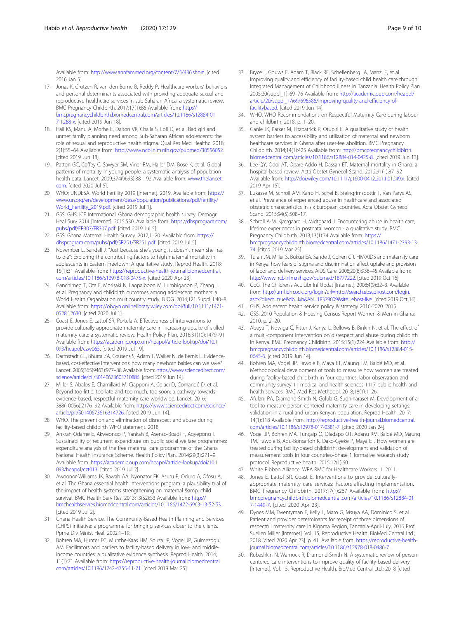<span id="page-8-0"></span>Available from: [http://www.annfammed.org/content/7/5/436.short.](http://www.annfammed.org/content/7/5/436.short) [cited 2016 Jan 5].

- 17. Jonas K, Crutzen R, van den Borne B, Reddy P. Healthcare workers' behaviors and personal determinants associated with providing adequate sexual and reproductive healthcare services in sub-Saharan Africa: a systematic review. BMC Pregnancy Childbirth. 2017;17(1):86 Available from: [http://](http://bmcpregnancychildbirth.biomedcentral.com/articles/10.1186/s12884-017-1268-x) [bmcpregnancychildbirth.biomedcentral.com/articles/10.1186/s12884-01](http://bmcpregnancychildbirth.biomedcentral.com/articles/10.1186/s12884-017-1268-x) [7-1268-x.](http://bmcpregnancychildbirth.biomedcentral.com/articles/10.1186/s12884-017-1268-x) [cited 2019 Jun 18].
- 18. Hall KS, Manu A, Morhe E, Dalton VK, Challa S, Loll D, et al. Bad girl and unmet family planning need among Sub-Saharan African adolescents: the role of sexual and reproductive health stigma. Qual Res Med Healthc. 2018; 2(1):55–64 Available from: <http://www.ncbi.nlm.nih.gov/pubmed/30556052>. [cited 2019 Jun 18].
- 19. Patton GC, Coffey C, Sawyer SM, Viner RM, Haller DM, Bose K, et al. Global patterns of mortality in young people: a systematic analysis of population health data. Lancet. 2009;374(9693):881–92 Available from: [www.thelancet.](http://www.thelancet.com) [com](http://www.thelancet.com). [cited 2020 Jul 5].
- 20. WHO; UNDESA. World Fertility 2019 [Internet]. 2019. Available from: [https://](https://www.un.org/en/development/desa/population/publications/pdf/fertility/World_Fertility_2019.pdf) [www.un.org/en/development/desa/population/publications/pdf/fertility/](https://www.un.org/en/development/desa/population/publications/pdf/fertility/World_Fertility_2019.pdf) [World\\_Fertility\\_2019.pdf.](https://www.un.org/en/development/desa/population/publications/pdf/fertility/World_Fertility_2019.pdf) [cited 2019 Jul 1].
- 21. GSS; GHS; ICF International. Ghana demographic health survey. Demogr Heal Surv 2014 [Internet]. 2015;530. Available from: [https://dhsprogram.com/](https://dhsprogram.com/pubs/pdf/FR307/FR307.pdf) [pubs/pdf/FR307/FR307.pdf.](https://dhsprogram.com/pubs/pdf/FR307/FR307.pdf) [cited 2019 Jul 5].
- 22. GSS. Ghana Maternal Health Survey. 2017;1–20. Available from: [https://](https://dhsprogram.com/pubs/pdf/SR251/SR251.pdf) [dhsprogram.com/pubs/pdf/SR251/SR251.pdf.](https://dhsprogram.com/pubs/pdf/SR251/SR251.pdf) [cited 2019 Jul 5].
- 23. November L, Sandall J. "Just because she's young, it doesn't mean she has to die": Exploring the contributing factors to high maternal mortality in adolescents in Eastern Freetown; A qualitative study. Reprod Health. 2018; 15(1):31 Available from: [https://reproductive-health-journal.biomedcentral.](https://reproductive-health-journal.biomedcentral.com/articles/10.1186/s12978-018-0475-x) [com/articles/10.1186/s12978-018-0475-x.](https://reproductive-health-journal.biomedcentral.com/articles/10.1186/s12978-018-0475-x) [cited 2020 Apr 23].
- 24. Ganchimeg T, Ota E, Morisaki N, Laopaiboon M, Lumbiganon P, Zhang J, et al. Pregnancy and childbirth outcomes among adolescent mothers: a World Health Organization multicountry study. BJOG. 2014;121 Suppl 1:40–8 Available from: [https://obgyn.onlinelibrary.wiley.com/doi/full/10.1111/1471-](https://obgyn.onlinelibrary.wiley.com/doi/full/10.1111/1471-0528.12630) [0528.12630.](https://obgyn.onlinelibrary.wiley.com/doi/full/10.1111/1471-0528.12630) [cited 2020 Jul 1].
- 25. Coast E, Jones E, Lattof SR, Portela A. Effectiveness of interventions to provide culturally appropriate maternity care in increasing uptake of skilled maternity care: a systematic review. Health Policy Plan. 2016;31(10):1479–91 Available from: [https://academic.oup.com/heapol/article-lookup/doi/10.1](https://academic.oup.com/heapol/article-lookup/doi/10.1093/heapol/czw065) [093/heapol/czw065.](https://academic.oup.com/heapol/article-lookup/doi/10.1093/heapol/czw065) [cited 2019 Jul 19].
- 26. Darmstadt GL, Bhutta ZA, Cousens S, Adam T, Walker N, de Bernis L. Evidencebased, cost-effective interventions: how many newborn babies can we save? Lancet. 2005;365(9463):977–88 Available from: [https://www.sciencedirect.com/](https://www.sciencedirect.com/science/article/pii/S0140673605710886) [science/article/pii/S0140673605710886](https://www.sciencedirect.com/science/article/pii/S0140673605710886). [cited 2019 Jun 14].
- 27. Miller S, Abalos E, Chamillard M, Ciapponi A, Colaci D, Comandé D, et al. Beyond too little, too late and too much, too soon: a pathway towards evidence-based, respectful maternity care worldwide. Lancet. 2016; 388(10056):2176–92 Available from: [https://www.sciencedirect.com/science/](https://www.sciencedirect.com/science/article/pii/S0140673616314726) [article/pii/S0140673616314726](https://www.sciencedirect.com/science/article/pii/S0140673616314726). [cited 2019 Jun 14].
- 28. WHO. The prevention and elimination of disrespect and abuse during facility-based childbirth WHO statement. 2018.
- 29. Ankrah Odame E, Akweongo P, Yankah B, Asenso-Boadi F, Agyepong I. Sustainability of recurrent expenditure on public social welfare programmes: expenditure analysis of the free maternal care programme of the Ghana National Health Insurance Scheme. Health Policy Plan. 2014;29(3):271–9 Available from: [https://academic.oup.com/heapol/article-lookup/doi/10.1](https://academic.oup.com/heapol/article-lookup/doi/10.1093/heapol/czt013) [093/heapol/czt013.](https://academic.oup.com/heapol/article-lookup/doi/10.1093/heapol/czt013) [cited 2019 Jul 2].
- 30. Awoonor-Williams JK, Bawah AA, Nyonator FK, Asuru R, Oduro A, Ofosu A, et al. The Ghana essential health interventions program: a plausibility trial of the impact of health systems strengthening on maternal & amp; child survival. BMC Health Serv Res. 2013;13(S2):S3 Available from: [http://](http://bmchealthservres.biomedcentral.com/articles/10.1186/1472-6963-13-S2-S3) [bmchealthservres.biomedcentral.com/articles/10.1186/1472-6963-13-S2-S3](http://bmchealthservres.biomedcentral.com/articles/10.1186/1472-6963-13-S2-S3). [cited 2019 Jul 2].
- 31. Ghana Health Service. The Community-Based Health Planning and Services (CHPS) initiative: a programme for bringing services closer to the clients. Ppme Div Minist Heal. 2002:1–19.
- 32. Bohren MA, Hunter EC, Munthe-Kaas HM, Souza JP, Vogel JP, Gülmezoglu AM. Facilitators and barriers to facility-based delivery in low- and middleincome countries: a qualitative evidence synthesis. Reprod Health. 2014; 11(1):71 Available from: [https://reproductive-health-journal.biomedcentral.](https://reproductive-health-journal.biomedcentral.com/articles/10.1186/1742-4755-11-71) [com/articles/10.1186/1742-4755-11-71](https://reproductive-health-journal.biomedcentral.com/articles/10.1186/1742-4755-11-71). [cited 2019 Mar 25].
- 33. Bryce J, Gouws E, Adam T, Black RE, Schellenberg JA, Manzi F, et al. Improving quality and efficiency of facility-based child health care through Integrated Management of Childhood Illness in Tanzania. Health Policy Plan. 2005;20(suppl\_1):i69–76 Available from: [http://academic.oup.com/heapol/](http://academic.oup.com/heapol/article/20/suppl_1/i69/696586/Improving-quality-and-efficiency-of-facilitybased) [article/20/suppl\\_1/i69/696586/Improving-quality-and-efficiency-of](http://academic.oup.com/heapol/article/20/suppl_1/i69/696586/Improving-quality-and-efficiency-of-facilitybased)[facilitybased.](http://academic.oup.com/heapol/article/20/suppl_1/i69/696586/Improving-quality-and-efficiency-of-facilitybased) [cited 2019 Jun 14].
- 34. WHO. WHO Recommendations on Respectful Maternity Care during labour and childbirth; 2018. p. 1–20.
- 35. Ganle JK, Parker M, Fitzpatrick R, Otupiri E. A qualitative study of health system barriers to accessibility and utilization of maternal and newborn healthcare services in Ghana after user-fee abolition. BMC Pregnancy Childbirth. 2014;14(1):425 Available from: [http://bmcpregnancychildbirth.](http://bmcpregnancychildbirth.biomedcentral.com/articles/10.1186/s12884-014-0425-8) [biomedcentral.com/articles/10.1186/s12884-014-0425-8.](http://bmcpregnancychildbirth.biomedcentral.com/articles/10.1186/s12884-014-0425-8) [cited 2019 Jun 13].
- 36. Lee QY, Odoi AT, Opare-Addo H, Dassah ET. Maternal mortality in Ghana: a hospital-based review. Acta Obstet Gynecol Scand. 2012;91(1):87–92 Available from: [http://doi.wiley.com/10.1111/j.1600-0412.2011.01249.x.](http://doi.wiley.com/10.1111/j.1600-0412.2011.01249.x) [cited 2019 Apr 15].
- 37. Lukasse M, Schroll AM, Karro H, Schei B, Steingrimsdottir T, Van Parys AS, et al. Prevalence of experienced abuse in healthcare and associated obstetric characteristics in six European countries. Acta Obstet Gynecol Scand. 2015;94(5):508–17.
- 38. Schroll A-M, Kjærgaard H, Midtgaard J. Encountering abuse in health care; lifetime experiences in postnatal women - a qualitative study. BMC Pregnancy Childbirth. 2013;13(1):74 Available from: [https://](https://bmcpregnancychildbirth.biomedcentral.com/articles/10.1186/1471-2393-13-74) [bmcpregnancychildbirth.biomedcentral.com/articles/10.1186/1471-2393-13-](https://bmcpregnancychildbirth.biomedcentral.com/articles/10.1186/1471-2393-13-74) [74.](https://bmcpregnancychildbirth.biomedcentral.com/articles/10.1186/1471-2393-13-74) [cited 2019 Mar 25].
- 39. Turan JM, Miller S, Bukusi EA, Sande J, Cohen CR. HIV/AIDS and maternity care in Kenya: how fears of stigma and discrimination affect uptake and provision of labor and delivery services. AIDS Care. 2008;20(8):938–45 Available from: [http://www.ncbi.nlm.nih.gov/pubmed/18777222.](http://www.ncbi.nlm.nih.gov/pubmed/18777222) [cited 2019 Oct 16].
- 40. GoG. The Children's Act. Libr Inf Updat [Internet]. 2008;4(9):32–3. Available from: [http://uml.idm.oclc.org/login?url=http://search.ebscohost.com/login.](http://uml.idm.oclc.org/login?url=http://search.ebscohost.com/login.aspx?direct=true&db=lxh&AN=18379009&site=ehost-live) [aspx?direct=true&db=lxh&AN=18379009&site=ehost-live.](http://uml.idm.oclc.org/login?url=http://search.ebscohost.com/login.aspx?direct=true&db=lxh&AN=18379009&site=ehost-live) [cited 2019 Oct 16].
- 41. GHS. Adolescent health service policy & strategy 2016-2020. 2015. 42. GSS. 2010 Population & Housing Census Report Women & Men in Ghana; 2010. p. 2–20.
- 43. Abuya T, Ndwiga C, Ritter J, Kanya L, Bellows B, Binkin N, et al. The effect of a multi-component intervention on disrespect and abuse during childbirth in Kenya. BMC Pregnancy Childbirth. 2015;15(1):224 Available from: [http://](http://bmcpregnancychildbirth.biomedcentral.com/articles/10.1186/s12884-015-0645-6) [bmcpregnancychildbirth.biomedcentral.com/articles/10.1186/s12884-015-](http://bmcpregnancychildbirth.biomedcentral.com/articles/10.1186/s12884-015-0645-6) [0645-6.](http://bmcpregnancychildbirth.biomedcentral.com/articles/10.1186/s12884-015-0645-6) [cited 2019 Jun 14].
- 44. Bohren MA, Vogel JP, Fawole B, Maya ET, Maung TM, Baldé MD, et al. Methodological development of tools to measure how women are treated during facility-based childbirth in four countries: labor observation and community survey 11 medical and health sciences 1117 public health and health services. BMC Med Res Methodol. 2018;18(1):1–26.
- 45. Afulani PA, Diamond-Smith N, Golub G, Sudhinaraset M. Development of a tool to measure person-centered maternity care in developing settings: validation in a rural and urban Kenyan population. Reprod Health. 2017; 14(1):118 Available from: [http://reproductive-health-journal.biomedcentral.](http://reproductive-health-journal.biomedcentral.com/articles/10.1186/s12978-017-0381-7) [com/articles/10.1186/s12978-017-0381-7](http://reproductive-health-journal.biomedcentral.com/articles/10.1186/s12978-017-0381-7). [cited 2020 Jan 24].
- 46. Vogel JP, Bohren MA, Tunçalp Ö, Oladapo OT, Adanu RM, Baldé MD, Maung TM, Fawole B, Adu-Bonsaffoh K, Dako-Gyeke P, Maya ET. How women are treated during facility-based childbirth: development and validation of measurement tools in four countries–phase 1 formative research study protocol. Reproductive health. 2015;12(1):60.
- 47. White Ribbon Alliance. WRA RMC for Healthcare Workers\_1. 2011.
- 48. Jones E, Lattof SR, Coast E. Interventions to provide culturallyappropriate maternity care services: Factors affecting implementation. BMC Pregnancy Childbirth. 2017;17(1):267 Available from: [http://](http://bmcpregnancychildbirth.biomedcentral.com/articles/10.1186/s12884-017-1449-7) [bmcpregnancychildbirth.biomedcentral.com/articles/10.1186/s12884-01](http://bmcpregnancychildbirth.biomedcentral.com/articles/10.1186/s12884-017-1449-7) [7-1449-7](http://bmcpregnancychildbirth.biomedcentral.com/articles/10.1186/s12884-017-1449-7). [cited 2020 Apr 23].
- 49. Dynes MM, Twentyman E, Kelly L, Maro G, Msuya AA, Dominico S, et al. Patient and provider determinants for receipt of three dimensions of respectful maternity care in Kigoma Region, Tanzania-April-July, 2016 Prof. Suellen Miller [Internet]. Vol. 15, Reproductive Health. BioMed Central Ltd.; 2018 [cited 2020 Apr 23]. p. 41. Available from: [https://reproductive-health](https://reproductive-health-journal.biomedcentral.com/articles/10.1186/s12978-018-0486-7)[journal.biomedcentral.com/articles/10.1186/s12978-018-0486-7](https://reproductive-health-journal.biomedcentral.com/articles/10.1186/s12978-018-0486-7).
- 50. Rubashkin N, Warnock R, Diamond-Smith N. A systematic review of personcentered care interventions to improve quality of facility-based delivery [Internet]. Vol. 15, Reproductive Health. BioMed Central Ltd.; 2018 [cited